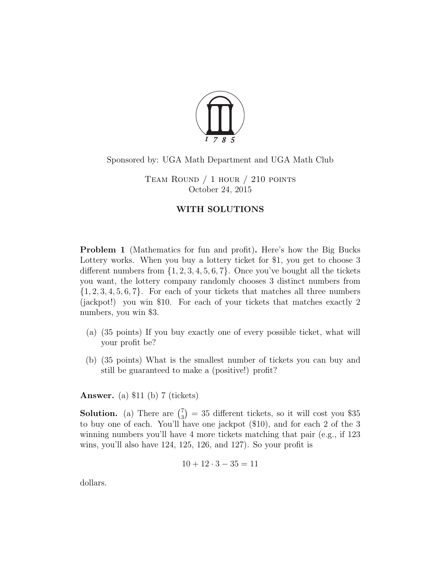

## Sponsored by: UGA Math Department and UGA Math Club

TEAM ROUND  $/ 1$  hour  $/ 210$  points October 24, 2015

## WITH SOLUTIONS

Problem 1 (Mathematics for fun and profit). Here's how the Big Bucks Lottery works. When you buy a lottery ticket for \$1, you get to choose 3 different numbers from  $\{1, 2, 3, 4, 5, 6, 7\}$ . Once you've bought all the tickets you want, the lottery company randomly chooses 3 distinct numbers from  $\{1, 2, 3, 4, 5, 6, 7\}$ . For each of your tickets that matches all three numbers (jackpot!) you win \$10. For each of your tickets that matches exactly 2 numbers, you win \$3.

- (a) (35 points) If you buy exactly one of every possible ticket, what will your profit be?
- (b) (35 points) What is the smallest number of tickets you can buy and still be guaranteed to make a (positive!) profit?

Answer. (a) \$11 (b) 7 (tickets)

**Solution.** (a) There are  $\binom{7}{3}$  $\binom{7}{3}$  = 35 different tickets, so it will cost you \$35 to buy one of each. You'll have one jackpot (\$10), and for each 2 of the 3 winning numbers you'll have 4 more tickets matching that pair (e.g., if 123 wins, you'll also have 124, 125, 126, and 127). So your profit is

$$
10 + 12 \cdot 3 - 35 = 11
$$

dollars.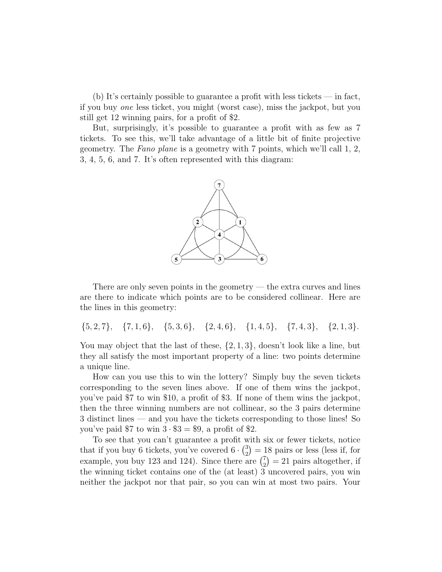(b) It's certainly possible to guarantee a profit with less tickets — in fact, if you buy one less ticket, you might (worst case), miss the jackpot, but you still get 12 winning pairs, for a profit of \$2.

But, surprisingly, it's possible to guarantee a profit with as few as 7 tickets. To see this, we'll take advantage of a little bit of finite projective geometry. The Fano plane is a geometry with 7 points, which we'll call 1, 2, 3, 4, 5, 6, and 7. It's often represented with this diagram:



There are only seven points in the geometry  $-$  the extra curves and lines are there to indicate which points are to be considered collinear. Here are the lines in this geometry:

 $\{5, 2, 7\}, \{7, 1, 6\}, \{5, 3, 6\}, \{2, 4, 6\}, \{1, 4, 5\}, \{7, 4, 3\}, \{2, 1, 3\}.$ 

You may object that the last of these,  $\{2, 1, 3\}$ , doesn't look like a line, but they all satisfy the most important property of a line: two points determine a unique line.

How can you use this to win the lottery? Simply buy the seven tickets corresponding to the seven lines above. If one of them wins the jackpot, you've paid \$7 to win \$10, a profit of \$3. If none of them wins the jackpot, then the three winning numbers are not collinear, so the 3 pairs determine 3 distinct lines — and you have the tickets corresponding to those lines! So you've paid  $$7$  to win  $3 \cdot $3 = $9$ , a profit of \$2.

To see that you can't guarantee a profit with six or fewer tickets, notice that if you buy 6 tickets, you've covered  $6 \cdot {3 \choose 2}$  $\binom{3}{2} = 18$  pairs or less (less if, for example, you buy 123 and 124). Since there are  $\binom{7}{2}$  $2<sub>2</sub>$  = 21 pairs altogether, if the winning ticket contains one of the (at least) 3 uncovered pairs, you win neither the jackpot nor that pair, so you can win at most two pairs. Your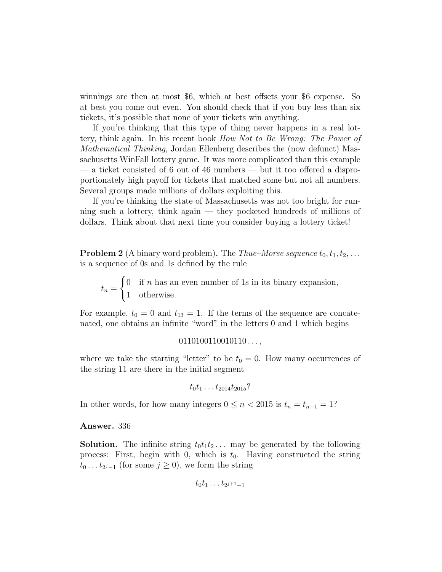winnings are then at most \$6, which at best offsets your \$6 expense. So at best you come out even. You should check that if you buy less than six tickets, it's possible that none of your tickets win anything.

If you're thinking that this type of thing never happens in a real lottery, think again. In his recent book How Not to Be Wrong: The Power of Mathematical Thinking, Jordan Ellenberg describes the (now defunct) Massachusetts WinFall lottery game. It was more complicated than this example — a ticket consisted of 6 out of 46 numbers — but it too offered a disproportionately high payoff for tickets that matched some but not all numbers. Several groups made millions of dollars exploiting this.

If you're thinking the state of Massachusetts was not too bright for running such a lottery, think again — they pocketed hundreds of millions of dollars. Think about that next time you consider buying a lottery ticket!

**Problem 2** (A binary word problem). The *Thue–Morse sequence*  $t_0, t_1, t_2, \ldots$ is a sequence of 0s and 1s defined by the rule

 $t_n =$  $\int 0$  if *n* has an even number of 1s in its binary expansion, 1 otherwise.

For example,  $t_0 = 0$  and  $t_{13} = 1$ . If the terms of the sequence are concatenated, one obtains an infinite "word" in the letters 0 and 1 which begins

 $0110100110010110...$ 

where we take the starting "letter" to be  $t_0 = 0$ . How many occurrences of the string 11 are there in the initial segment

 $t_0t_1 \ldots t_{2014}t_{2015}$ ?

In other words, for how many integers  $0 \le n < 2015$  is  $t_n = t_{n+1} = 1$ ?

Answer. 336

**Solution.** The infinite string  $t_0t_1t_2...$  may be generated by the following process: First, begin with 0, which is  $t_0$ . Having constructed the string  $t_0 \dots t_{2^j-1}$  (for some  $j \ge 0$ ), we form the string

$$
t_0t_1\ldots t_{2^{j+1}-1}
$$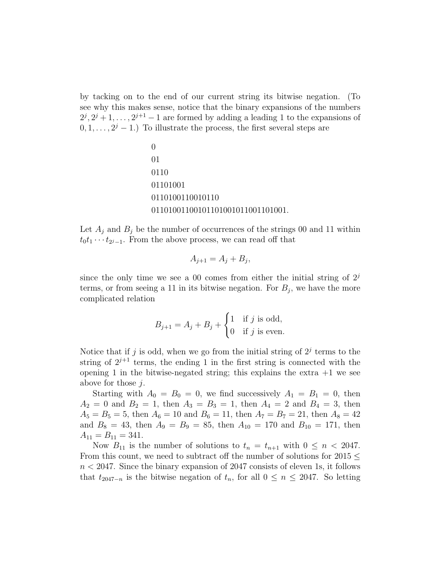by tacking on to the end of our current string its bitwise negation. (To see why this makes sense, notice that the binary expansions of the numbers  $2^j, 2^j+1, \ldots, 2^{j+1}-1$  are formed by adding a leading 1 to the expansions of  $(0, 1, \ldots, 2^{j} - 1)$  To illustrate the process, the first several steps are

$$
\begin{array}{l}0\\01\\0110\\01101001\\0110100110010110\\01101001100101100010110011001.\end{array}
$$

Let  $A_i$  and  $B_i$  be the number of occurrences of the strings 00 and 11 within  $t_0 t_1 \cdots t_{2^j-1}$ . From the above process, we can read off that

$$
A_{j+1} = A_j + B_j,
$$

since the only time we see a 00 comes from either the initial string of  $2<sup>j</sup>$ terms, or from seeing a 11 in its bitwise negation. For  $B_j$ , we have the more complicated relation

$$
B_{j+1} = A_j + B_j + \begin{cases} 1 & \text{if } j \text{ is odd,} \\ 0 & \text{if } j \text{ is even.} \end{cases}
$$

Notice that if j is odd, when we go from the initial string of  $2<sup>j</sup>$  terms to the string of  $2^{j+1}$  terms, the ending 1 in the first string is connected with the opening 1 in the bitwise-negated string; this explains the extra  $+1$  we see above for those j.

Starting with  $A_0 = B_0 = 0$ , we find successively  $A_1 = B_1 = 0$ , then  $A_2 = 0$  and  $B_2 = 1$ , then  $A_3 = B_3 = 1$ , then  $A_4 = 2$  and  $B_4 = 3$ , then  $A_5 = B_5 = 5$ , then  $A_6 = 10$  and  $B_6 = 11$ , then  $A_7 = B_7 = 21$ , then  $A_8 = 42$ and  $B_8 = 43$ , then  $A_9 = B_9 = 85$ , then  $A_{10} = 170$  and  $B_{10} = 171$ , then  $A_{11} = B_{11} = 341.$ 

Now  $B_{11}$  is the number of solutions to  $t_n = t_{n+1}$  with  $0 \leq n < 2047$ . From this count, we need to subtract off the number of solutions for  $2015 \leq$  $n < 2047$ . Since the binary expansion of 2047 consists of eleven 1s, it follows that  $t_{2047-n}$  is the bitwise negation of  $t_n$ , for all  $0 \leq n \leq 2047$ . So letting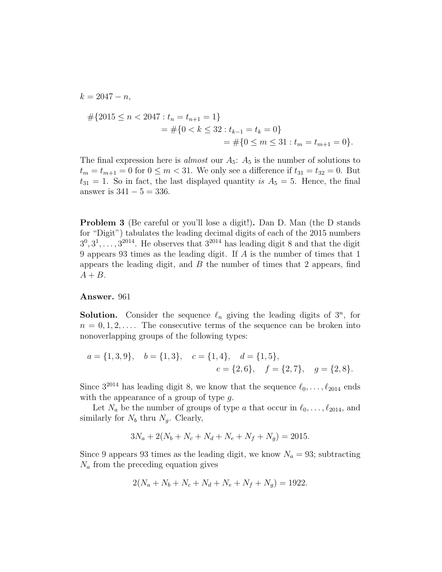$$
k = 2047 - n,
$$
  
\n
$$
\#\{2015 \le n < 2047 : t_n = t_{n+1} = 1\}
$$
  
\n
$$
= \#\{0 < k \le 32 : t_{k-1} = t_k = 0\}
$$
  
\n
$$
= \#\{0 \le m \le 31 : t_m = t_{m+1} = 0\}.
$$

The final expression here is *almost* our  $A_5$ :  $A_5$  is the number of solutions to  $t_m = t_{m+1} = 0$  for  $0 \le m < 31$ . We only see a difference if  $t_{31} = t_{32} = 0$ . But  $t_{31} = 1$ . So in fact, the last displayed quantity is  $A_5 = 5$ . Hence, the final answer is  $341 - 5 = 336$ .

Problem 3 (Be careful or you'll lose a digit!). Dan D. Man (the D stands for "Digit") tabulates the leading decimal digits of each of the 2015 numbers  $3^0, 3^1, \ldots, 3^{2014}$ . He observes that  $3^{2014}$  has leading digit 8 and that the digit 9 appears 93 times as the leading digit. If A is the number of times that 1 appears the leading digit, and  $B$  the number of times that 2 appears, find  $A + B$ .

## Answer. 961

**Solution.** Consider the sequence  $\ell_n$  giving the leading digits of  $3^n$ , for  $n = 0, 1, 2, \ldots$  The consecutive terms of the sequence can be broken into nonoverlapping groups of the following types:

$$
a = \{1, 3, 9\},
$$
  $b = \{1, 3\},$   $c = \{1, 4\},$   $d = \{1, 5\},$   
 $e = \{2, 6\},$   $f = \{2, 7\},$   $g = \{2, 8\}.$ 

Since  $3^{2014}$  has leading digit 8, we know that the sequence  $\ell_0, \ldots, \ell_{2014}$  ends with the appearance of a group of type g.

Let  $N_a$  be the number of groups of type a that occur in  $\ell_0, \ldots, \ell_{2014}$ , and similarly for  $N_b$  thru  $N_q$ . Clearly,

$$
3N_a + 2(N_b + N_c + N_d + N_e + N_f + N_g) = 2015.
$$

Since 9 appears 93 times as the leading digit, we know  $N_a = 93$ ; subtracting  $N_a$  from the preceding equation gives

$$
2(N_a + N_b + N_c + N_d + N_e + N_f + N_g) = 1922.
$$